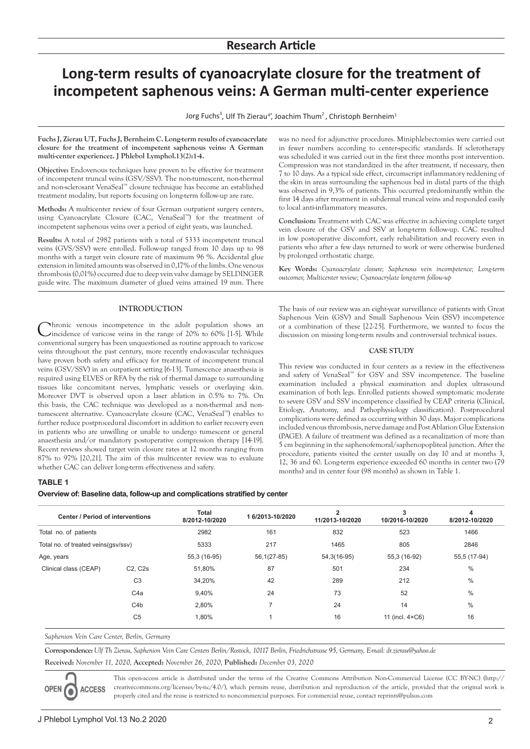# **Long-term results of cyanoacrylate closure for the treatment of incompetent saphenous veins: A German multi-center experience**

Jorg Fuchs<sup>3</sup>, Ulf Th Zierau<sup>4</sup>\*, Joachim Thum<sup>2</sup>, Christoph Bernheim<sup>1</sup>

**Fuchs J, Zierau UT, Fuchs J, Bernheim C. Long-term results of cyanoacrylate closure for the treatment of incompetent saphenous veins: A German multi-center experiencez. J Phlebol Lymphol.13(2):1-4.**

**Objective:** Endovenous techniques have proven to be effective for treatment of incompetent truncal veins (GSV/SSV). The non-tumescent, non-thermal and non-sclerosant VenaSeal™ closure technique has become an established treatment modality, but reports focusing on long-term follow-up are rare.

**Methods:** A multicenter review of four German outpatient surgery centers, using Cyanoacrylate Closure (CAC, VenaSeal™) for the treatment of incompetent saphenous veins over a period of eight years, was launched.

**Results:** A total of 2982 patients with a total of 5333 incompetent truncal veins (GVS/SSV) were enrolled. Follow-up ranged from 10 days up to 98 months with a target vein closure rate of maximum 96 %. Accidental glue extension in limited amounts was observed in 0,17% of the limbs. One venous thrombosis (0,01%) occurred due to deep vein valve damage by SELDINGER guide wire. The maximum diameter of glued veins attained 19 mm. There

# **INTRODUCTION**

Chronic venous incompetence in the adult population shows an Cincidence of varicose veins in the range of 20% to 60% [1-5]. While conventional surgery has been unquestioned as routine approach to varicose veins throughout the past century, more recently endovascular techniques have proven both safety and efficacy for treatment of incompetent truncal veins (GSV/SSV) in an outpatient setting [6-13]. Tumescence anaesthesia is required using ELVES or RFA by the risk of thermal damage to surrounding tissues like concomitant nerves, lymphatic vessels or overlaying skin. Moreover DVT is observed upon a laser ablation in 0.5% to 7%. On this basis, the CAC technique was developed as a non-thermal and nontumescent alternative. Cyanoacrylate closure (CAC, VenaSeal™) enables to further reduce postprocedural discomfort in addition to earlier recovery even in patients who are unwilling or unable to undergo tumescent or general anaesthesia and/or mandatory postoperative compression therapy [14-19]. Recent reviews showed target vein closure rates at 12 months ranging from 87% to 97% [20,21]. The aim of this multicenter review was to evaluate whether CAC can deliver long-term effectiveness and safety.

# **TABLE 1**

**Overview of: Baseline data, follow-up and complications stratified by center**

| <b>Center / Period of interventions</b><br>Total no. of patients<br>Total no. of treated veins(gsv/ssv)<br>Age, years |                | <b>Total</b><br>8/2012-10/2020<br>2982<br>5333<br>55,3 (16-95) | 16/2013-10/2020<br>161<br>217<br>$56,1(27-85)$ | 2<br>11/2013-10/2020<br>832<br>1465<br>54,3(16-95) | 3<br>10/2016-10/2020<br>523<br>805<br>55,3 (16-92) | 4<br>8/2012-10/2020<br>1466<br>2846<br>55,5 (17-94) |                       |                                  |        |    |     |     |               |
|-----------------------------------------------------------------------------------------------------------------------|----------------|----------------------------------------------------------------|------------------------------------------------|----------------------------------------------------|----------------------------------------------------|-----------------------------------------------------|-----------------------|----------------------------------|--------|----|-----|-----|---------------|
|                                                                                                                       |                |                                                                |                                                |                                                    |                                                    |                                                     | Clinical class (CEAP) | C <sub>2</sub> . C <sub>2s</sub> | 51,80% | 87 | 501 | 234 | $\frac{0}{0}$ |
|                                                                                                                       |                |                                                                |                                                |                                                    |                                                    |                                                     |                       | C <sub>3</sub>                   | 34,20% | 42 | 289 | 212 | $\%$          |
|                                                                                                                       |                |                                                                |                                                |                                                    |                                                    |                                                     |                       | C <sub>4</sub> a                 | 9,40%  | 24 | 73  | 52  | $\frac{0}{0}$ |
|                                                                                                                       | C4b            | 2,80%                                                          | 7                                              | 24                                                 | 14                                                 | $\frac{0}{0}$                                       |                       |                                  |        |    |     |     |               |
|                                                                                                                       | C <sub>5</sub> | 1,80%                                                          |                                                | 16                                                 | 11 (incl. $4 \times C6$ )                          | 16                                                  |                       |                                  |        |    |     |     |               |

*Saphenion Vein Care Center, Berlin, Germany*

**Correspondence:** *Ulf Th Zierau, Saphenion Vein Care Centers Berlin/Rostock, 10117 Berlin, Friedrichstrasse 95, Germany, E-mail: dr.zierau@yahoo.de*

**Received:** *November 11, 2020,* **Accepted:** *November 26, 2020,* **Published:** *December 03, 2020* 

**ACCESS OPEN** 6

This open-access article is distributed under the terms of the Creative Commons Attribution Non-Commercial License (CC BY-NC) (http:// creativecommons.org/licenses/by-nc/4.0/), which permits reuse, distribution and reproduction of the article, provided that the original work is properly cited and the reuse is restricted to noncommercial purposes. For commercial reuse, contact reprints@pulsus.com

was no need for adjunctive procedures. Miniphlebectomies were carried out in fewer numbers according to center-specific standards. If sclerotherapy was scheduled it was carried out in the first three months post intervention. Compression was not standardized in the after treatment, if necessary, then 7 to 10 days. As a typical side effect, circumscript inflammatory reddening of the skin in areas surrounding the saphenous bed in distal parts of the thigh was observed in 9,3% of patients. This occurred predominantly within the first 14 days after treatment in subdermal truncal veins and responded easily to local anti-inflammatory measures.

**Conclusion:** Treatment with CAC was effective in achieving complete target vein closure of the GSV and SSV at long-term follow-up. CAC resulted in low postoperative discomfort, early rehabilitation and recovery even in patients who after a few days returned to work or were otherwise burdened by prolonged orthostatic charge.

**Key Words:** *Cyanoacrylate closure; Saphenous vein incompetence; Long-term outcomes; Multicenter review; Cyanoacrylate long-term follow-up*

The basis of our review was an eight-year surveillance of patients with Great Saphenous Vein (GSV) and Small Saphenous Vein (SSV) incompetence or a combination of these [22-25]. Furthermore, we wanted to focus the discussion on missing long-term results and controversial technical issues.

### **CASE STUDY**

This review was conducted in four centers as a review in the effectiveness and safety of VenaSeal™ for GSV and SSV incompetence. The baseline examination included a physical examination and duplex ultrasound examination of both legs. Enrolled patients showed symptomatic moderate to severe GSV and SSV incompetence classified by CEAP criteria (Clinical, Etiology, Anatomy, and Pathophysiology classification). Postprocedural complications were defined as occurring within 30 days. Major complications included venous thrombosis, nerve damage and Post Ablation Glue Extension (PAGE). A failure of treatment was defined as a recanalization of more than 5 cm beginning in the saphenofemoral/saphenopopliteal junction. After the procedure, patients visited the center usually on day 10 and at months 3, 12, 36 and 60. Long-term experience exceeded 60 months in center two (79 months) and in center four (98 months) as shown in Table 1.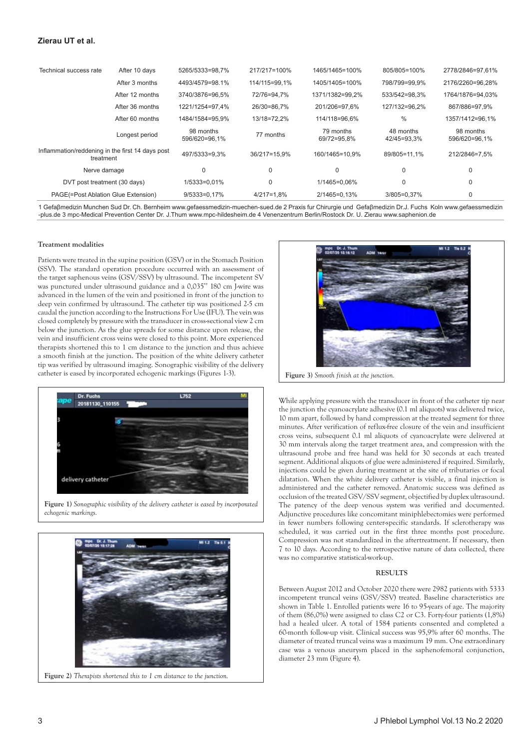# **Zierau UT et al.**

| Technical success rate                                        | After 10 days   | 5265/5333=98,7%            | 217/217=100%   | 1465/1465=100%           | 805/805=100%             | 2778/2846=97,61%           |
|---------------------------------------------------------------|-----------------|----------------------------|----------------|--------------------------|--------------------------|----------------------------|
|                                                               | After 3 months  | 4493/4579=98.1%            | 114/115=99.1%  | 1405/1405=100%           | 798/799=99.9%            | 2176/2260=96.28%           |
|                                                               | After 12 months | 3740/3876=96.5%            | 72/76=94.7%    | 1371/1382=99.2%          | 533/542=98.3%            | 1764/1876=94.03%           |
|                                                               | After 36 months | 1221/1254=97.4%            | 26/30=86.7%    | 201/206=97.6%            | 127/132=96.2%            | 867/886=97.9%              |
|                                                               | After 60 months | 1484/1584=95.9%            | 13/18=72.2%    | 114/118=96.6%            | $\%$                     | 1357/1412=96,1%            |
|                                                               | Longest period  | 98 months<br>596/620=96.1% | 77 months      | 79 months<br>69/72=95.8% | 48 months<br>42/45=93.3% | 98 months<br>596/620=96.1% |
| Inflammation/reddening in the first 14 days post<br>treatment |                 | 497/5333=9.3%              | 36/217=15.9%   | 160/1465=10.9%           | 89/805=11.1%             | 212/2846=7.5%              |
| Nerve damage                                                  |                 | $\Omega$                   | $\mathbf 0$    | $\mathbf{0}$             | $\Omega$                 | 0                          |
| DVT post treatment (30 days)                                  |                 | 1/5333=0.01%               | $\mathbf 0$    | 1/1465=0.06%             | $\Omega$                 | 0                          |
| PAGE(=Post Ablation Glue Extension)                           |                 | $9/5333=0.17%$             | $4/217 = 1.8%$ | 2/1465=0.13%             | 3/805=0.37%              | 0                          |

1 Gefaβmedizin Munchen Sud Dr. Ch. Bernheim www.gefaessmedizin-muechen-sued.de 2 Praxis fur Chirurgie und Gefaβmedizin Dr.J. Fuchs Koln www.gefaessmedizin -plus.de 3 mpc-Medical Prevention Center Dr. J.Thum www.mpc-hildesheim.de 4 Venenzentrum Berlin/Rostock Dr. U. Zierau www.saphenion.de

#### **Treatment modalities**

Patients were treated in the supine position (GSV) or in the Stomach Position (SSV). The standard operation procedure occurred with an assessment of the target saphenous veins (GSV/SSV) by ultrasound. The incompetent SV was punctured under ultrasound guidance and a 0,035'' 180 cm J-wire was advanced in the lumen of the vein and positioned in front of the junction to deep vein confirmed by ultrasound. The catheter tip was positioned 2-5 cm caudal the junction according to the Instructions For Use (IFU). The vein was closed completely by pressure with the transducer in cross-sectional view 2 cm below the junction. As the glue spreads for some distance upon release, the vein and insufficient cross veins were closed to this point. More experienced therapists shortened this to 1 cm distance to the junction and thus achieve a smooth finish at the junction. The position of the white delivery catheter tip was verified by ultrasound imaging. Sonographic visibility of the delivery catheter is eased by incorporated echogenic markings (Figures 1-3).



**Figure 1)** *Sonographic visibility of the delivery catheter is eased by incorporated echogenic markings.*



**Figure 2)** *Therapists shortened this to 1 cm distance to the junction.*



While applying pressure with the transducer in front of the catheter tip near the junction the cyanoacrylate adhesive (0.1 ml aliquots) was delivered twice, 10 mm apart, followed by hand compression at the treated segment for three minutes. After verification of reflux-free closure of the vein and insufficient cross veins, subsequent 0.1 ml aliquots of cyanoacrylate were delivered at 30 mm intervals along the target treatment area, and compression with the ultrasound probe and free hand was held for 30 seconds at each treated segment. Additional aliquots of glue were administered if required. Similarly, injections could be given during treatment at the site of tributaries or focal dilatation. When the white delivery catheter is visible, a final injection is administered and the catheter removed. Anatomic success was defined as occlusion of the treated GSV/SSV segment, objectified by duplex ultrasound. The patency of the deep venous system was verified and documented. Adjunctive procedures like concomitant miniphlebectomies were performed in fewer numbers following center-specific standards. If sclerotherapy was scheduled, it was carried out in the first three months post procedure. Compression was not standardized in the aftertreatment. If necessary, then 7 to 10 days. According to the retrospective nature of data collected, there was no comparative statistical-work-up.

#### **RESULTS**

Between August 2012 and October 2020 there were 2982 patients with 5333 incompetent truncal veins (GSV/SSV) treated. Baseline characteristics are shown in Table 1. Enrolled patients were 16 to 95-years of age. The majority of them (86,0%) were assigned to class C2 or C3. Forty-four patients (1,8%) had a healed ulcer. A total of 1584 patients consented and completed a 60-month follow-up visit. Clinical success was 95,9% after 60 months. The diameter of treated truncal veins was a maximum 19 mm. One extraordinary case was a venous aneurysm placed in the saphenofemoral conjunction, diameter 23 mm (Figure 4).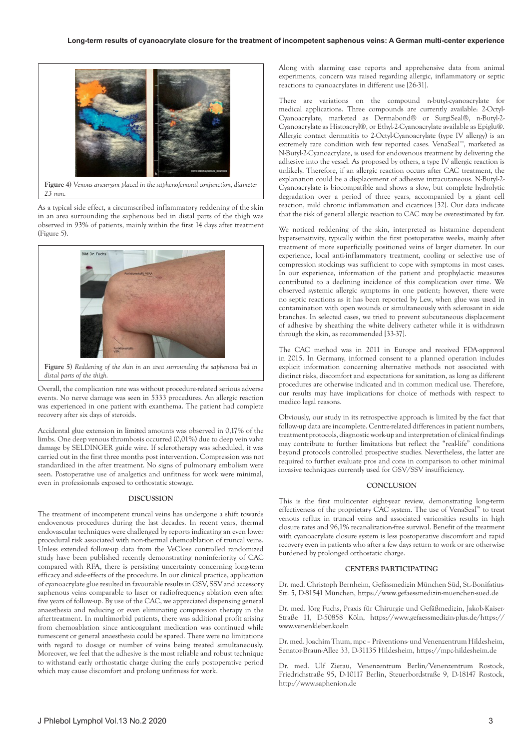

**Figure 4)** *Venous aneurysm placed in the saphenofemoral conjunction, diameter 23 mm.*

As a typical side effect, a circumscribed inflammatory reddening of the skin in an area surrounding the saphenous bed in distal parts of the thigh was observed in 93% of patients, mainly within the first 14 days after treatment (Figure 5).



**Figure 5)** *Reddening of the skin in an area surrounding the saphenous bed in distal parts of the thigh.*

Overall, the complication rate was without procedure-related serious adverse events. No nerve damage was seen in 5333 procedures. An allergic reaction was experienced in one patient with exanthema. The patient had complete recovery after six days of steroids.

Accidental glue extension in limited amounts was observed in 0,17% of the limbs. One deep venous thrombosis occurred (0,01%) due to deep vein valve damage by SELDINGER guide wire. If sclerotherapy was scheduled, it was carried out in the first three months post intervention. Compression was not standardized in the after treatment. No signs of pulmonary embolism were seen. Postoperative use of analgetics and unfitness for work were minimal, even in professionals exposed to orthostatic stowage.

## **DISCUSSION**

The treatment of incompetent truncal veins has undergone a shift towards endovenous procedures during the last decades. In recent years, thermal endovascular techniques were challenged by reports indicating an even lower procedural risk associated with non-thermal chemoablation of truncal veins. Unless extended follow-up data from the VeClose controlled randomized study have been published recently demonstrating noninferiority of CAC compared with RFA, there is persisting uncertainty concerning long-term efficacy and side-effects of the procedure. In our clinical practice, application of cyanoacrylate glue resulted in favourable results in GSV, SSV and accessory saphenous veins comparable to laser or radiofrequency ablation even after five years of follow-up. By use of the CAC, we appreciated dispensing general anaesthesia and reducing or even eliminating compression therapy in the aftertreatment. In multimorbid patients, there was additional profit arising from chemoablation since anticoagulant medication was continued while tumescent or general anaesthesia could be spared. There were no limitations with regard to dosage or number of veins being treated simultaneously. Moreover, we feel that the adhesive is the most reliable and robust technique to withstand early orthostatic charge during the early postoperative period which may cause discomfort and prolong unfitness for work.

Along with alarming case reports and apprehensive data from animal experiments, concern was raised regarding allergic, inflammatory or septic reactions to cyanoacrylates in different use [26-31].

There are variations on the compound n-butyl-cyanoacrylate for medical applications. Three compounds are currently available: 2-Octyl-Cyanoacrylate, marketed as Dermabond® or SurgiSeal®, n-Butyl-2- Cyanoacrylate as Histoacryl®, or Ethyl-2-Cyanoacrylate available as Epiglu®. Allergic contact dermatitis to 2-Octyl-Cyanoacrylate (type IV allergy) is an extremely rare condition with few reported cases. VenaSeal™, marketed as N-Butyl-2-Cyanoacrylate, is used for endovenous treatment by delivering the adhesive into the vessel. As proposed by others, a type IV allergic reaction is unlikely. Therefore, if an allergic reaction occurs after CAC treatment, the explanation could be a displacement of adhesive intracutaneous. N-Butyl-2- Cyanoacrylate is biocompatible and shows a slow, but complete hydrolytic degradation over a period of three years, accompanied by a giant cell reaction, mild chronic inflammation and cicatrices [32]. Our data indicate that the risk of general allergic reaction to CAC may be overestimated by far.

We noticed reddening of the skin, interpreted as histamine dependent hypersensitivity, typically within the first postoperative weeks, mainly after treatment of more superficially positioned veins of larger diameter. In our experience, local anti-inflammatory treatment, cooling or selective use of compression stockings was sufficient to cope with symptoms in most cases. In our experience, information of the patient and prophylactic measures contributed to a declining incidence of this complication over time. We observed systemic allergic symptoms in one patient; however, there were no septic reactions as it has been reported by Lew, when glue was used in contamination with open wounds or simultaneously with sclerosant in side branches. In selected cases, we tried to prevent subcutaneous displacement of adhesive by sheathing the white delivery catheter while it is withdrawn through the skin, as recommended [33-37].

The CAC method was in 2011 in Europe and received FDA-approval in 2015. In Germany, informed consent to a planned operation includes explicit information concerning alternative methods not associated with distinct risks, discomfort and expectations for sanitation, as long as different procedures are otherwise indicated and in common medical use. Therefore, our results may have implications for choice of methods with respect to medico legal reasons.

Obviously, our study in its retrospective approach is limited by the fact that follow-up data are incomplete. Centre-related differences in patient numbers, treatment protocols, diagnostic work-up and interpretation of clinical findings may contribute to further limitations but reflect the "real-life" conditions beyond protocols controlled prospective studies. Nevertheless, the latter are required to further evaluate pros and cons in comparison to other minimal invasive techniques currently used for GSV/SSV insufficiency.

## **CONCLUSION**

This is the first multicenter eight-year review, demonstrating long-term effectiveness of the proprietary CAC system. The use of VenaSeal™ to treat venous reflux in truncal veins and associated varicosities results in high closure rates and 96,1% recanalization-free survival. Benefit of the treatment with cyanoacrylate closure system is less postoperative discomfort and rapid recovery even in patients who after a few days return to work or are otherwise burdened by prolonged orthostatic charge.

## **CENTERS PARTICIPATING**

Dr. med. Christoph Bernheim, Gefässmedizin München Süd, St.-Bonifatius-Str. 5, D-81541 München, https://www.gefaessmedizin-muenchen-sued.de

Dr. med. Jörg Fuchs, Praxis für Chirurgie und Gefäßmedizin, Jakob-Kaiser-Straße 11, D-50858 Köln, https://www.gefaessmedizin-plus.de/https:// www.venenkleber.koeln

Dr. med. Joachim Thum, mpc – Präventions- und Venenzentrum Hildesheim, Senator-Braun-Allee 33, D-31135 Hildesheim, https://mpc-hildesheim.de

Dr. med. Ulf Zierau, Venenzentrum Berlin/Venenzentrum Rostock, Friedrichstraße 95, D-10117 Berlin, Steuerbordstraße 9, D-18147 Rostock, http://www.saphenion.de